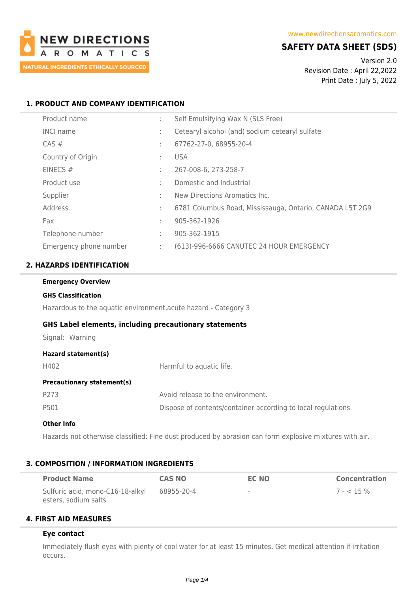

## **SAFETY DATA SHEET (SDS)**

Version 2.0 Revision Date : April 22,2022 Print Date : July 5, 2022

### **1. PRODUCT AND COMPANY IDENTIFICATION**

| Product name           | ÷ | Self Emulsifying Wax N (SLS Free)                        |
|------------------------|---|----------------------------------------------------------|
| <b>INCI name</b>       | t | Cetearyl alcohol (and) sodium cetearyl sulfate           |
| CAS#                   | ÷ | 67762-27-0, 68955-20-4                                   |
| Country of Origin      | ÷ | <b>USA</b>                                               |
| EINECS $#$             | ÷ | 267-008-6, 273-258-7                                     |
| Product use            | ÷ | Domestic and Industrial                                  |
| Supplier               | ÷ | New Directions Aromatics Inc.                            |
| Address                | ÷ | 6781 Columbus Road, Mississauga, Ontario, CANADA L5T 2G9 |
| Fax                    | ÷ | 905-362-1926                                             |
| Telephone number       | ÷ | 905-362-1915                                             |
| Emergency phone number | ÷ | (613)-996-6666 CANUTEC 24 HOUR EMERGENCY                 |

### **2. HAZARDS IDENTIFICATION**

| <b>Emergency Overview</b>                                       |                                                               |  |  |  |
|-----------------------------------------------------------------|---------------------------------------------------------------|--|--|--|
| <b>GHS Classification</b>                                       |                                                               |  |  |  |
| Hazardous to the aquatic environment, acute hazard - Category 3 |                                                               |  |  |  |
| <b>GHS Label elements, including precautionary statements</b>   |                                                               |  |  |  |
| Signal: Warning                                                 |                                                               |  |  |  |
| Hazard statement(s)                                             |                                                               |  |  |  |
| H402                                                            | Harmful to aquatic life.                                      |  |  |  |
| <b>Precautionary statement(s)</b>                               |                                                               |  |  |  |
| P273                                                            | Avoid release to the environment.                             |  |  |  |
| P501                                                            | Dispose of contents/container according to local regulations. |  |  |  |

#### **Other Info**

Hazards not otherwise classified: Fine dust produced by abrasion can form explosive mixtures with air.

#### **3. COMPOSITION / INFORMATION INGREDIENTS**

| <b>Product Name</b>                                      | <b>CAS NO</b> | <b>EC NO</b> | <b>Concentration</b> |
|----------------------------------------------------------|---------------|--------------|----------------------|
| Sulfuric acid, mono-C16-18-alkyl<br>esters, sodium salts | 68955-20-4    | $\sim$       | $7 - 5\%$            |

### **4. FIRST AID MEASURES**

#### **Eye contact**

Immediately flush eyes with plenty of cool water for at least 15 minutes. Get medical attention if irritation occurs.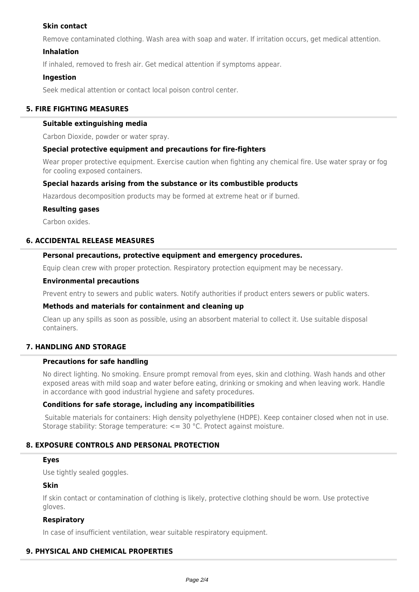## **Skin contact**

Remove contaminated clothing. Wash area with soap and water. If irritation occurs, get medical attention.

### **Inhalation**

If inhaled, removed to fresh air. Get medical attention if symptoms appear.

### **Ingestion**

Seek medical attention or contact local poison control center.

### **5. FIRE FIGHTING MEASURES**

### **Suitable extinguishing media**

Carbon Dioxide, powder or water spray.

### **Special protective equipment and precautions for fire-fighters**

Wear proper protective equipment. Exercise caution when fighting any chemical fire. Use water spray or fog for cooling exposed containers.

### **Special hazards arising from the substance or its combustible products**

Hazardous decomposition products may be formed at extreme heat or if burned.

### **Resulting gases**

Carbon oxides.

### **6. ACCIDENTAL RELEASE MEASURES**

### **Personal precautions, protective equipment and emergency procedures.**

Equip clean crew with proper protection. Respiratory protection equipment may be necessary.

#### **Environmental precautions**

Prevent entry to sewers and public waters. Notify authorities if product enters sewers or public waters.

### **Methods and materials for containment and cleaning up**

Clean up any spills as soon as possible, using an absorbent material to collect it. Use suitable disposal containers.

### **7. HANDLING AND STORAGE**

## **Precautions for safe handling**

No direct lighting. No smoking. Ensure prompt removal from eyes, skin and clothing. Wash hands and other exposed areas with mild soap and water before eating, drinking or smoking and when leaving work. Handle in accordance with good industrial hygiene and safety procedures.

### **Conditions for safe storage, including any incompatibilities**

 Suitable materials for containers: High density polyethylene (HDPE). Keep container closed when not in use. Storage stability: Storage temperature: <= 30 °C. Protect against moisture.

### **8. EXPOSURE CONTROLS AND PERSONAL PROTECTION**

### **Eyes**

Use tightly sealed goggles.

### **Skin**

If skin contact or contamination of clothing is likely, protective clothing should be worn. Use protective gloves.

### **Respiratory**

In case of insufficient ventilation, wear suitable respiratory equipment.

# **9. PHYSICAL AND CHEMICAL PROPERTIES**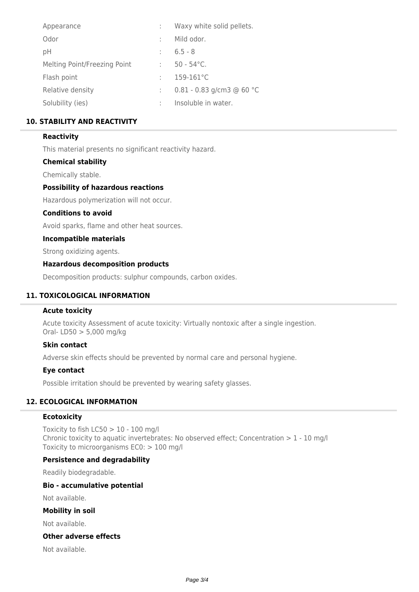| Waxy white solid pellets.   |
|-----------------------------|
| Mild odor.                  |
| $6.5 - 8$                   |
| $50 - 54$ °C.               |
| $159 - 161^{\circ}C$        |
| $0.81 - 0.83$ g/cm3 @ 60 °C |
| Insoluble in water.         |
|                             |

## **10. STABILITY AND REACTIVITY**

### **Reactivity**

This material presents no significant reactivity hazard.

### **Chemical stability**

Chemically stable.

### **Possibility of hazardous reactions**

Hazardous polymerization will not occur.

### **Conditions to avoid**

Avoid sparks, flame and other heat sources.

### **Incompatible materials**

Strong oxidizing agents.

### **Hazardous decomposition products**

Decomposition products: sulphur compounds, carbon oxides.

### **11. TOXICOLOGICAL INFORMATION**

### **Acute toxicity**

Acute toxicity Assessment of acute toxicity: Virtually nontoxic after a single ingestion. Oral- LD50 > 5,000 mg/kg

### **Skin contact**

Adverse skin effects should be prevented by normal care and personal hygiene.

### **Eye contact**

Possible irritation should be prevented by wearing safety glasses.

## **12. ECOLOGICAL INFORMATION**

### **Ecotoxicity**

Toxicity to fish  $LC50 > 10 - 100$  mg/l Chronic toxicity to aquatic invertebrates: No observed effect; Concentration  $> 1$  - 10 mg/l Toxicity to microorganisms EC0: > 100 mg/l

### **Persistence and degradability**

Readily biodegradable.

### **Bio - accumulative potential**

Not available.

#### **Mobility in soil**

Not available.

### **Other adverse effects**

Not available.